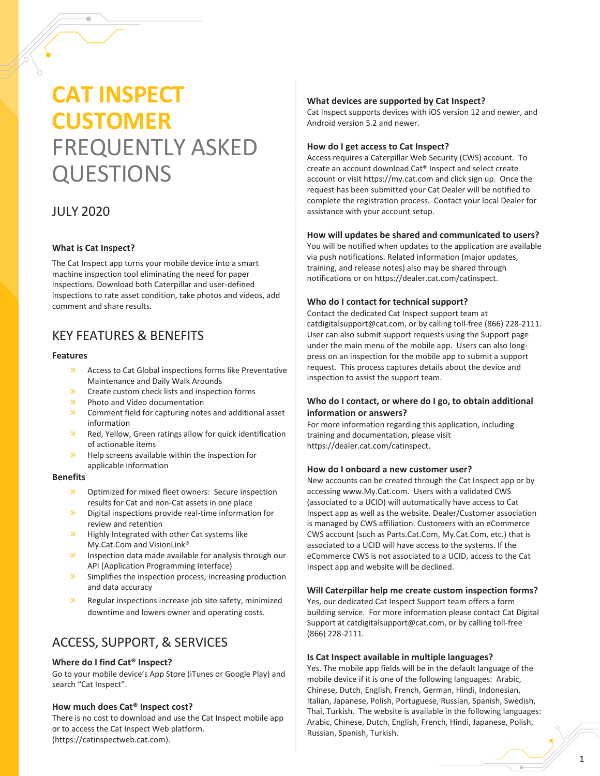# **CAT INSPECT CUSTOMER** FREQUENTLY ASKED QUESTIONS

# JULY 2020

#### **What is Cat Inspect?**

The Cat Inspect app turns your mobile device into a smart machine inspection tool eliminating the need for paper inspections. Download both Caterpillar and user-defined inspections to rate asset condition, take photos and videos, add comment and share results.

# KEY FEATURES & BENEFITS

#### **Features**

- » Access to Cat Global inspections forms like Preventative Maintenance and Daily Walk Arounds
- » Create custom check lists and inspection forms
- » Photo and Video documentation
- » Comment field for capturing notes and additional asset information
- » Red, Yellow, Green ratings allow for quick identification of actionable items
- » Help screens available within the inspection for applicable information

# **Benefits**

- » Optimized for mixed fleet owners: Secure inspection results for Cat and non-Cat assets in one place
- » Digital inspections provide real-time information for review and retention
- » Highly Integrated with other Cat systems like My.Cat.Com and VisionLink®
- » Inspection data made available for analysis through our API (Application Programming Interface)
- » Simplifies the inspection process, increasing production and data accuracy
- » Regular inspections increase job site safety, minimized downtime and lowers owner and operating costs.

# ACCESS, SUPPORT, & SERVICES

#### **Where do I find Cat® Inspect?**

Go to your mobile device's App Store (iTunes or Google Play) and search "Cat Inspect".

# **How much does Cat® Inspect cost?**

There is no cost to download and use the Cat Inspect mobile app or to access the Cat Inspect Web platform. [\(https://catinspectweb.cat.com\)](https://catinspectweb.cat.com/).

#### **What devices are supported by Cat Inspect?**

Cat Inspect supports devices with iOS version 12 and newer, and Android version 5.2 and newer.

#### **How do I get access to Cat Inspect?**

Access requires a Caterpillar Web Security (CWS) account. To create an account download Cat® Inspect and select create account or visit https://my.cat.com and click sign up. Once the request has been submitted your Cat Dealer will be notified to complete the registration process. Contact your local Dealer for assistance with your account setup.

#### **How will updates be shared and communicated to users?**

You will be notified when updates to the application are available via push notifications. Related information (major updates, training, and release notes) also may be shared through notifications or o[n https://dealer.cat.com/catinspect.](https://dealer.cat.com/catinspect)

#### **Who do I contact for technical support?**

Contact the dedicated Cat Inspect support team at [catdigitalsupport@cat.com,](mailto:catdigitalsupport@cat.com) or by calling toll-free (866) 228-2111. User can also submit support requests using the Support page under the main menu of the mobile app. Users can also longpress on an inspection for the mobile app to submit a support request. This process captures details about the device and inspection to assist the support team.

## **Who do I contact, or where do I go, to obtain additional information or answers?**

For more information regarding this application, including training and documentation, please visit [https://dealer.cat.com/catinspect.](https://dealer.cat.com/catinspect) 

#### **How do I onboard a new customer user?**

New accounts can be created through the Cat Inspect app or by accessing www.My.Cat.com. Users with a validated CWS (associated to a UCID) will automatically have access to Cat Inspect app as well as the website. Dealer/Customer association is managed by CWS affiliation. Customers with an eCommerce CWS account (such as Parts.Cat.Com, My.Cat.Com, etc.) that is associated to a UCID will have access to the systems. If the eCommerce CWS is not associated to a UCID, access to the Cat Inspect app and website will be declined.

#### **Will Caterpillar help me create custom inspection forms?**

Yes, our dedicated Cat Inspect Support team offers a form building service. For more information please contact Cat Digital Support at [catdigitalsupport@cat.com,](mailto:catdigitalsupport@cat.com) or by calling toll-free (866) 228-2111.

#### **Is Cat Inspect available in multiple languages?**

Yes. The mobile app fields will be in the default language of the mobile device if it is one of the following languages: Arabic, Chinese, Dutch, English, French, German, Hindi, Indonesian, Italian, Japanese, Polish, Portuguese, Russian, Spanish, Swedish, Thai, Turkish. The website is available in the following languages: Arabic, Chinese, Dutch, English, French, Hindi, Japanese, Polish, Russian, Spanish, Turkish.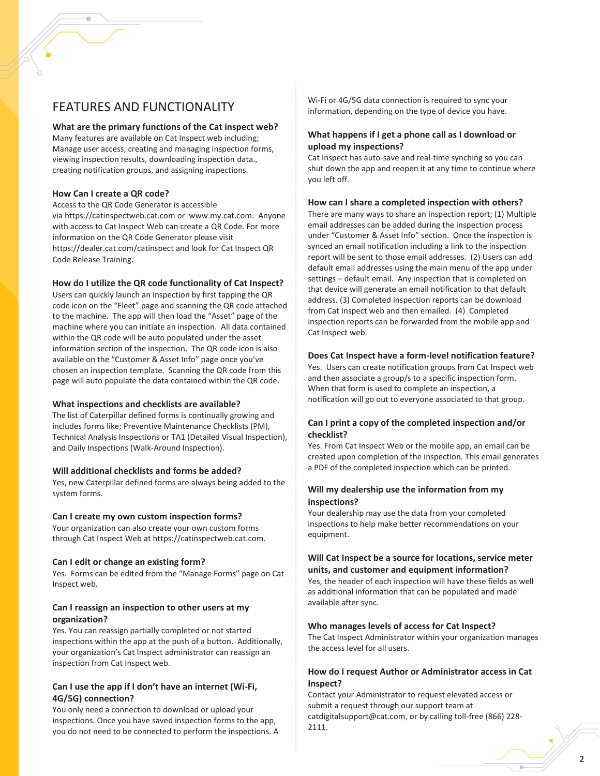# FEATURES AND FUNCTIONALITY

#### **What are the primary functions of the Cat inspect web?**

Many features are available on Cat Inspect web including; Manage user access, creating and managing inspection forms, viewing inspection results, downloading inspection data., creating notification groups, and assigning inspections.

#### **How Can I create a QR code?**

Access to the QR Code Generator is accessible via [https://catinspectweb.cat.com](https://catinspectweb.cat.com/) or [www.my.cat.com.](http://www.my.cat.com/) Anyone with access to Cat Inspect Web can create a QR Code. For more information on the QR Code Generator please visit <https://dealer.cat.com/catinspect> and look for Cat Inspect QR Code Release Training.

## **How do I utilize the QR code functionality of Cat Inspect?**

Users can quickly launch an inspection by first tapping the QR code icon on the "Fleet" page and scanning the QR code attached to the machine. The app will then load the "Asset" page of the machine where you can initiate an inspection. All data contained within the QR code will be auto populated under the asset information section of the inspection. The QR code icon is also available on the "Customer & Asset Info" page once you've chosen an inspection template. Scanning the QR code from this page will auto populate the data contained within the QR code.

#### **What inspections and checklists are available?**

The list of Caterpillar defined forms is continually growing and includes forms like; Preventive Maintenance Checklists (PM), Technical Analysis Inspections or TA1 (Detailed Visual Inspection), and Daily Inspections (Walk-Around Inspection).

#### **Will additional checklists and forms be added?**

Yes, new Caterpillar defined forms are always being added to the system forms.

#### **Can I create my own custom inspection forms?**

Your organization can also create your own custom forms through Cat Inspect Web at https://catinspectweb.cat.com.

#### **Can I edit or change an existing form?**

Yes. Forms can be edited from the "Manage Forms" page on Cat Inspect web.

#### **Can I reassign an inspection to other users at my organization?**

Yes. You can reassign partially completed or not started inspections within the app at the push of a button. Additionally, your organization's Cat Inspect administrator can reassign an inspection from Cat Inspect web.

## **Can I use the app if I don't have an internet (Wi-Fi, 4G/5G) connection?**

You only need a connection to download or upload your inspections. Once you have saved inspection forms to the app, you do not need to be connected to perform the inspections. A Wi-Fi or 4G/5G data connection is required to sync your information, depending on the type of device you have.

## **What happens if I get a phone call as I download or upload my inspections?**

Cat Inspect has auto-save and real-time synching so you can shut down the app and reopen it at any time to continue where you left off.

#### **How can I share a completed inspection with others?**

There are many ways to share an inspection report; (1) Multiple email addresses can be added during the inspection process under "Customer & Asset Info" section. Once the inspection is synced an email notification including a link to the inspection report will be sent to those email addresses. (2) Users can add default email addresses using the main menu of the app under settings – default email. Any inspection that is completed on that device will generate an email notification to that default address. (3) Completed inspection reports can be download from Cat Inspect web and then emailed. (4) Completed inspection reports can be forwarded from the mobile app and Cat Inspect web.

#### **Does Cat Inspect have a form-level notification feature?**

Yes. Users can create notification groups from Cat Inspect web and then associate a group/s to a specific inspection form. When that form is used to complete an inspection, a notification will go out to everyone associated to that group.

## **Can I print a copy of the completed inspection and/or checklist?**

Yes. From Cat Inspect Web or the mobile app, an email can be created upon completion of the inspection. This email generates a PDF of the completed inspection which can be printed.

#### **Will my dealership use the information from my inspections?**

Your dealership may use the data from your completed inspections to help make better recommendations on your equipment.

## **Will Cat Inspect be a source for locations, service meter units, and customer and equipment information?**

Yes, the header of each inspection will have these fields as well as additional information that can be populated and made available after sync.

#### **Who manages levels of access for Cat Inspect?**

The Cat Inspect Administrator within your organization manages the access level for all users.

# **How do I request Author or Administrator access in Cat Inspect?**

Contact your Administrator to request elevated access or submit a request through our support team at [catdigitalsupport@cat.com,](mailto:catdigitalsupport@cat.com) or by calling toll-free (866) 228- 2111.